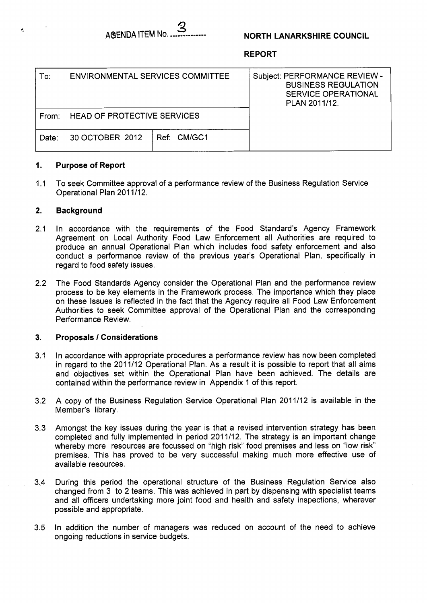

## **NORTH LANARKSHIRE COUNCIL**

**REPORT** 

| To:   | ENVIRONMENTAL SERVICES COMMITTEE   |             | Subject: PERFORMANCE REVIEW -<br><b>BUSINESS REGULATION</b><br><b>SERVICE OPERATIONAL</b><br>PLAN 2011/12. |
|-------|------------------------------------|-------------|------------------------------------------------------------------------------------------------------------|
| From: | <b>HEAD OF PROTECTIVE SERVICES</b> |             |                                                                                                            |
| Date: | 30 OCTOBER 2012                    | Ref: CM/GC1 |                                                                                                            |

#### **1. Purpose of Report**

1.1 To seek Committee approval of a performance review of the Business Regulation Service Operational Plan 201 1/12.

#### **2. Background**

- 2.1 In accordance with the requirements of the Food Standard's Agency Framework Agreement on Local Authority Food Law Enforcement all Authorities are required to produce an annual Operational Plan which includes food safety enforcement and also conduct a performance review of the previous year's Operational Plan, specifically in regard to food safety issues.
- 2.2 The Food Standards Agency consider the Operational Plan and the performance review process to be key elements in the Framework process. The importance which they place on these Issues is reflected in the fact that the Agency require all Food Law Enforcement Authorities to seek Committee approval of the Operational Plan and the corresponding Performance Review.

#### **3. Proposals** *I* **Considerations**

- 3.1 In accordance with appropriate procedures a performance review has now been completed in regard to the 2011/12 Operational Plan. As a result it is possible to report that all aims and objectives set within the Operational Plan have been achieved. The details are contained within the performance review in Appendix 1 of this report.
- 3.2 A copy of the Business Regulation Service Operational Plan 2011/12 is available in the Member's library.
- 3.3 Amongst the key issues during the year is that a revised intervention strategy has been completed and fully implemented in period 201 1/12. The strategy is an important change whereby more resources are focussed on "high risk" food premises and less on "low risk" premises. This has proved to be very successful making much more effective use of available resources.
- 3.4 During this period the operational structure of the Business Regulation Service also changed from 3 to 2 teams. This was achieved in part by dispensing with specialist teams and all officers undertaking more joint food and health and safety inspections, wherever possible and appropriate.
- 3.5 In addition the number of managers was reduced on account of the need to achieve ongoing reductions in service budgets.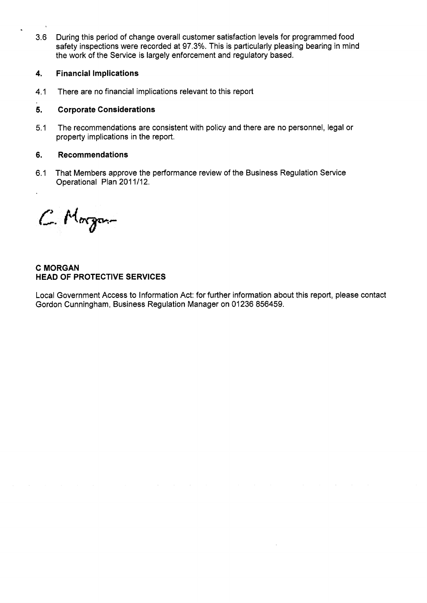3.6 During this period of change overall customer satisfaction levels for programmed food safety inspections were recorded at 97.3%. This is particularly pleasing bearing in mind the work of the Service is largely enforcement and regulatory based.

# **4. Financial Implications**

4.1 There are no financial implications relevant to this report

# **5. Corporate Considerations**

5.1 The recommendations are consistent with policy and there are no personnel, legal or property implications in the report.

## **6. Recommendations**

6.1 That Members approve the performance review of the Business Regulation Service Operational Plan 2011/12.

C. Morgan

**C MORGAN HEAD OF PROTECTIVE SERVICES** 

Local Government Access to Information Act: for further information about this report, please contact Gordon Cunningham, Business Regulation Manager on 01236 856459.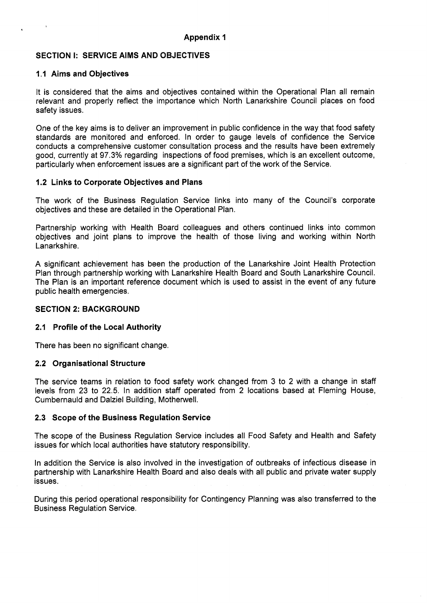# **SECTION I: SERVICE AIMS AND OBJECTIVES**

#### **1.1 Aims and Objectives**

It is considered that the aims and objectives contained within the Operational Plan all remain relevant and properly reflect the importance which North Lanarkshire Council places on food safety issues.

One of the key aims is to deliver an improvement in public confidence in the way that food safety standards are monitored and enforced. In order to gauge levels of confidence the Service conducts a comprehensive customer consultation process and the results have been extremely good, currently at 97.3% regarding inspections of food premises, which is an excellent outcome, particularly when enforcement issues are a significant part of the work of the Service.

## **1.2 Links to Corporate Objectives and Plans**

The work of the Business Regulation Service links into many of the Council's corporate objectives and these are detailed in the Operational Plan.

Partnership working with Health Board colleagues and others continued links into common objectives and joint plans to improve the health of those living and working within North Lanarkshire.

**A** significant achievement has been the production of the Lanarkshire Joint Health Protection Plan through partnership working with Lanarkshire Health Board and South Lanarkshire Council. The Plan is an important reference document which is used to assist in the event of any future public health emergencies.

## **SECTION 2: BACKGROUND**

#### **2.1 Profile of the Local Authority**

There has been no significant change.

#### **2.2 Organisational Structure**

The service teams in relation to food safety work changed from 3 to 2 with a change in staff levels from 23 to 22.5. In addition staff operated from 2 locations based at Fleming House, Cumbernauld and Dalziel Building, Motherwell.

# **2.3 Scope of the Business Regulation Service**

The scope of the Business Regulation Service includes all Food Safety and Health and Safety issues for which local authorities have statutory responsibility.

In addition the Service is also involved in the investigation of outbreaks of infectious disease in partnership with Lanarkshire Health Board and also deals with all public and private water supply issues.

During this period operational responsibility for Contingency Planning was also transferred to the Business Regulation Service.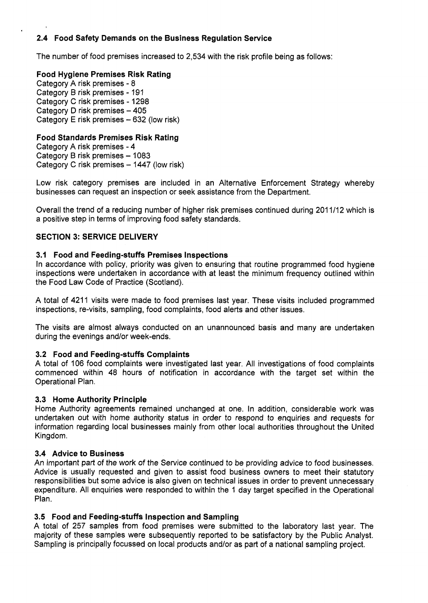# **2.4 Food Safety Demands on the Business Regulation Service**

The number of food premises increased to 2,534 with the risk profile being as follows:

# **Food Hygiene Premises Risk Rating**

Category A risk premises - 8 Category B risk premises - 191 Category C risk premises - 1298 Category D risk premises - 405 Category E risk premises  $-632$  (low risk)

# **Food Standards Premises Risk Rating**

Category A risk premises - 4 Category B risk premises - 1083 Category C risk premises - 1447 (low risk)

Low risk category premises are included in an Alternative Enforcement Strategy whereby businesses can request an inspection or seek assistance from the Department.

Overall the trend of a reducing number of higher risk premises continued during 201 1/12 which is a positive step in terms of improving food safety standards.

# **SECTION 3: SERVICE DELIVERY**

# **3.1 Food and Feeding-stuffs Premises Inspections**

In accordance with policy, priority was given to ensuring that routine programmed food hygiene inspections were undertaken in accordance with at least the minimum frequency outlined within the Food Law Code of Practice (Scotland).

A total of 4211 visits were made to food premises last year. These visits included programmed inspections, re-visits, sampling, food complaints, food alerts and other issues.

The visits are almost always conducted on an unannounced basis and many are undertaken during the evenings and/or week-ends.

# **3.2 Food and Feeding-stuffs Complaints**

A total of 106 food complaints were investigated last year. All investigations of food complaints commenced within 48 hours of notification in accordance with the target set within the Operational Plan.

# **3.3 Home Authority Principle**

Home Authority agreements remained unchanged at one. In addition, considerable work was undertaken out with home authority status in order to respond to enquiries and requests for information regarding local businesses mainly from other local authorities throughout the United Kingdom.

# **3.4 Advice to Business**

An important part of the work of the Service continued to be providing advice to food businesses. Advice is usually requested and given to assist food business owners to meet their statutory responsibilities but some advice is also given on technical issues in order to prevent unnecessary expenditure. All enquiries were responded to within the 1 day target specified in the Operational Plan.

# **3.5 Food and Feeding-stuffs Inspection and Sampling**

A total of 257 samples from food premises were submitted to the laboratory last year. The majority of these samples were subsequently reported to be satisfactory by the Public Analyst. Sampling is principally focussed on local products and/or **as** part of a national sampling project.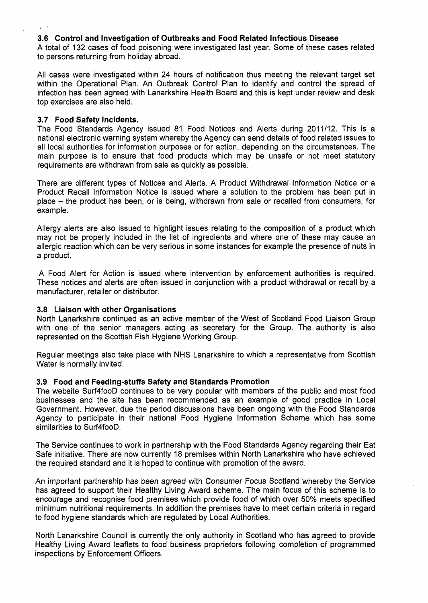# **3.6 Control and Investigation of Outbreaks and Food Related Infectious Disease**

A total of 132 cases of food poisoning were investigated last year. Some of these cases related to persons returning from holiday abroad.

All cases were investigated within 24 hours of notification thus meeting the relevant target set within the Operational Plan. An Outbreak Control Plan to identify and control the spread of infection has been agreed with Lanarkshire Health Board and this is kept under review and desk top exercises are also held.

#### **3.7 Food Safety Incidents.**

The Food Standards Agency issued 81 Food Notices and Alerts during 2011/12. This is a national electronic warning system whereby the Agency can send details of food related issues to all local authorities for information purposes or for action, depending on the circumstances. The main purpose is to ensure that food products which may be unsafe or not meet statutory requirements are withdrawn from sale as quickly as possible.

There are different types of Notices and Alerts. A Product Withdrawal Information Notice or a Product Recall Information Notice is issued where a solution to the problem has been put in place - the product has been, or is being, withdrawn from sale or recalled from consumers, for example.

Allergy alerts are also issued to highlight issues relating to the composition of a product which may not be properly included in the list of ingredients and where one of these may cause an allergic reaction which can be very serious in some instances for example the presence of nuts in a product.

A Food Alert for Action is issued where intervention by enforcement authorities is required. These notices and alerts are often issued in conjunction with a product withdrawal or recall by a manufacturer, retailer or distributor.

#### **3.8 Liaison with other Organisations**

North Lanarkshire continued as an active member of the West of Scotland Food Liaison Group with one of the senior managers acting as secretary for the Group. The authority is also represented on the Scottish Fish Hygiene Working Group.

Regular meetings also take place with NHS Lanarkshire to which a representative from Scottish Water is normally invited.

#### **3.9 Food and Feeding-stuffs Safety and Standards Promotion**

The website Surf4fooD continues to be very popular with members of the public and most food businesses and the site has been recommended as an example of good practice in Local Government. However, due the period discussions have been ongoing with the Food Standards Agency to participate in their national Food Hygiene Information Scheme which has some similarities to Surf4fooD.

The Service continues to work in partnership with the Food Standards Agency regarding their Eat Safe initiative. There are now currently 18 premises within North Lanarkshire who have achieved the required standard and it is hoped to continue with promotion of the award.

An important partnership has been agreed with Consumer Focus Scotland whereby the Service has agreed to support their Healthy Living Award scheme. The main focus of this scheme is to encourage and recognise food premises which provide food of which over 50% meets specified minimum nutritional requirements. In addition the premises have to meet certain criteria in regard to food hygiene standards which are regulated by Local Authorities.

North Lanarkshire Council is currently the only authority in Scotland who has agreed to provide Healthy Living Award leaflets to food business proprietors following completion of programmed inspections by Enforcement Officers.